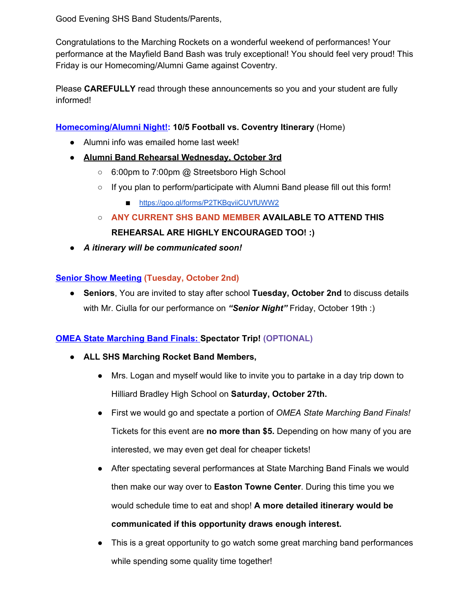Good Evening SHS Band Students/Parents,

Congratulations to the Marching Rockets on a wonderful weekend of performances! Your performance at the Mayfield Band Bash was truly exceptional! You should feel very proud! This Friday is our Homecoming/Alumni Game against Coventry.

Please **CAREFULLY** read through these announcements so you and your student are fully informed!

## **Homecoming/Alumni Night!: 10/5 Football vs. Coventry Itinerary** (Home)

- Alumni info was emailed home last week!
- **● Alumni Band Rehearsal Wednesday, October 3rd**
	- 6:00pm to 7:00pm @ Streetsboro High School
	- If you plan to perform/participate with Alumni Band please fill out this form!
		- https://goo.gl/forms/P2TKBqviiCUVfUWW2
	- **○ ANY CURRENT SHS BAND MEMBER AVAILABLE TO ATTEND THIS REHEARSAL ARE HIGHLY ENCOURAGED TOO! :)**
- *● A itinerary will be communicated soon!*

## **Senior Show Meeting (Tuesday, October 2nd)**

● **Seniors**, You are invited to stay after school **Tuesday, October 2nd** to discuss details with Mr. Ciulla for our performance on *"Senior Night"* Friday, October 19th :)

## **OMEA State Marching Band Finals: Spectator Trip! (OPTIONAL)**

- **● ALL SHS Marching Rocket Band Members,**
	- Mrs. Logan and myself would like to invite you to partake in a day trip down to Hilliard Bradley High School on **Saturday, October 27th.**
	- First we would go and spectate a portion of *OMEA State Marching Band Finals!* Tickets for this event are **no more than \$5.** Depending on how many of you are interested, we may even get deal for cheaper tickets!
	- After spectating several performances at State Marching Band Finals we would then make our way over to **Easton Towne Center**. During this time you we would schedule time to eat and shop! **A more detailed itinerary would be communicated if this opportunity draws enough interest.**
	- This is a great opportunity to go watch some great marching band performances while spending some quality time together!